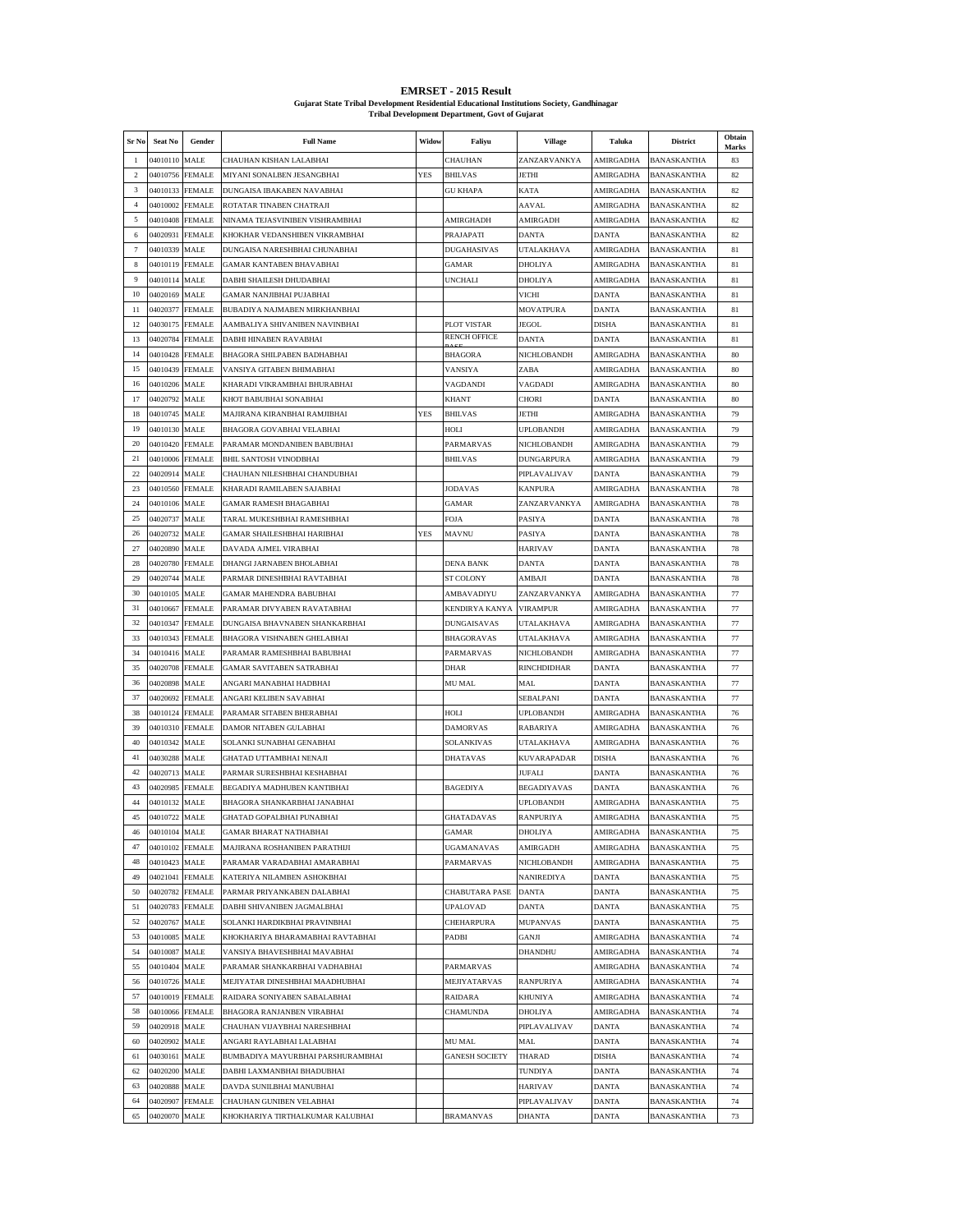| <b>EMRSET - 2015 Result</b>                                                                |
|--------------------------------------------------------------------------------------------|
| Guiarat State Tribal Development Residential Educational Institutions Society, Gandhinagar |
| <b>Tribal Development Department, Govt of Gujarat</b>                                      |

| Sr No          | Seat No              | Gender                | <b>Full Name</b>                                            | Widow      | Faliyu                | <b>Village</b>                       | Taluka                 | <b>District</b>                   | Obtain<br>Marks |
|----------------|----------------------|-----------------------|-------------------------------------------------------------|------------|-----------------------|--------------------------------------|------------------------|-----------------------------------|-----------------|
| -1             | 04010110             | <b>MALE</b>           | CHAUHAN KISHAN LALABHAI                                     |            | CHAUHAN               | ZANZARVANKYA                         | AMIRGADHA              | BANASKANTHA                       | 83              |
| $\overline{2}$ | 04010756             | <b>FEMALE</b>         | MIYANI SONALBEN JESANGBHAI                                  | <b>YES</b> | <b>BHILVAS</b>        | <b>JETHI</b>                         | AMIRGADHA              | BANASKANTHA                       | 82              |
| 3              | 04010133             | <b>FEMALE</b>         | DUNGAISA IBAKABEN NAVABHAI                                  |            | <b>GU KHAPA</b>       | KATA                                 | AMIRGADHA              | <b>BANASKANTHA</b>                | 82              |
| $\overline{4}$ | 04010002             | <b>FEMALE</b>         | ROTATAR TINABEN CHATRAJI                                    |            |                       | AAVAL                                | AMIRGADHA              | BANASKANTHA                       | 82              |
| 5              | 04010408             | <b>FEMALE</b>         | NINAMA TEJASVINIBEN VISHRAMBHAI                             |            | <b>AMIRGHADH</b>      | <b>AMIRGADH</b>                      | AMIRGADHA              | BANASKANTHA                       | 82              |
| 6              | 04020931             | FEMALE                | KHOKHAR VEDANSHIBEN VIKRAMBHAI                              |            | PRAJAPATI             | <b>DANTA</b>                         | DANTA                  | BANASKANTHA                       | 82              |
| $\overline{7}$ | 04010339             | MALE                  | DUNGAISA NARESHBHAI CHUNABHAI                               |            | DUGAHASIVAS           | UTALAKHAVA                           | AMIRGADHA              | BANASKANTHA                       | 81              |
| 8              | 04010119             | <b>FEMALE</b>         | <b>GAMAR KANTABEN BHAVABHAI</b>                             |            | <b>GAMAR</b>          | <b>DHOLIYA</b>                       | AMIRGADHA              | <b>BANASKANTHA</b>                | 81              |
| 9              | 04010114             | MALE                  | DABHI SHAILESH DHUDABHAI                                    |            | UNCHALI               | <b>DHOLIYA</b>                       | AMIRGADHA              | BANASKANTHA                       | 81              |
| 10<br>-11      | 04020169             | <b>MALE</b>           | GAMAR NANJIBHAI PUJABHAI<br>BUBADIYA NAJMABEN MIRKHANBHAI   |            |                       | VICHI                                | <b>DANTA</b>           | <b>BANASKANTHA</b>                | 81              |
| 12             | 04020377<br>04030175 | FEMALE<br>FEMALE      | AAMBALIYA SHIVANIBEN NAVINBHAI                              |            | PLOT VISTAR           | <b>MOVATPURA</b><br>JEGOL            | DANTA<br>DISHA         | BANASKANTHA<br>BANASKANTHA        | 81<br>81        |
| 13             | 04020784             | <b>FEMALE</b>         | DABHI HINABEN RAVABHAI                                      |            | <b>RENCH OFFICE</b>   | <b>DANTA</b>                         | DANTA                  | <b>BANASKANTHA</b>                | 81              |
| 14             | 04010428             | <b>FEMALE</b>         | BHAGORA SHILPABEN BADHABHAI                                 |            | BHAGORA               | NICHLOBANDH                          | AMIRGADHA              | BANASKANTHA                       | 80              |
| 15             | 04010439             | <b>FEMALE</b>         | VANSIYA GITABEN BHIMABHAI                                   |            | VANSIYA               | ZABA                                 | AMIRGADHA              | BANASKANTHA                       | 80              |
| 16             | 04010206             | <b>MALE</b>           | KHARADI VIKRAMBHAI BHURABHAI                                |            | VAGDANDI              | VAGDADI                              | AMIRGADHA              | BANASKANTHA                       | 80              |
| 17             | 04020792             | MALE                  | KHOT BABUBHAI SONABHAI                                      |            | KHANT                 | CHORI                                | DANTA                  | BANASKANTHA                       | 80              |
| 18             | 04010745             | MALE                  | MAJIRANA KIRANBHAI RAMJIBHAI                                | <b>YES</b> | <b>BHILVAS</b>        | <b>JETHI</b>                         | AMIRGADHA              | <b>BANASKANTHA</b>                | 79              |
| 19             | 04010130             | MALE                  | BHAGORA GOVABHAI VELABHAI                                   |            | HOLI                  | <b>UPLOBANDH</b>                     | AMIRGADHA              | BANASKANTHA                       | 79              |
| 20             | 04010420             | <b>FEMALE</b>         | PARAMAR MONDANIBEN BABUBHAI                                 |            | PARMARVAS             | NICHLOBANDH                          | AMIRGADHA              | <b>BANASKANTHA</b>                | 79              |
| 21             | 04010006             | FEMALE                | <b>BHIL SANTOSH VINODBHAI</b>                               |            | <b>BHILVAS</b>        | <b>DUNGARPURA</b>                    | AMIRGADHA              | BANASKANTHA                       | 79              |
| 22             | 04020914             | MALE                  | CHAUHAN NILESHBHAI CHANDUBHAI                               |            |                       | PIPLAVALIVAV                         | DANTA                  | BANASKANTHA                       | 79              |
| 23             | 04010560             | <b>FEMALE</b>         | KHARADI RAMILABEN SAJABHAI                                  |            | <b>JODAVAS</b>        | <b>KANPURA</b>                       | AMIRGADHA              | <b>BANASKANTHA</b>                | 78              |
| 24             | 04010106             | MALE                  | <b>GAMAR RAMESH BHAGABHAI</b>                               |            | GAMAR                 | ZANZARVANKYA                         | AMIRGADHA              | BANASKANTHA                       | 78              |
| 25             | 04020737             | <b>MALE</b>           | TARAL MUKESHBHAI RAMESHBHAI                                 |            | FOJA                  | PASIYA                               | <b>DANTA</b>           | BANASKANTHA                       | 78              |
| 26<br>27       | 04020732             | MALE                  | <b>GAMAR SHAILESHBHAI HARIBHAI</b><br>DAVADA AJMEL VIRABHAI | <b>YES</b> | MAVNU                 | PASIYA<br><b>HARIVAV</b>             | DANTA<br>DANTA         | BANASKANTHA                       | 78              |
| 28             | 04020890<br>04020780 | MALE<br><b>FEMALE</b> | DHANGI JARNABEN BHOLABHAI                                   |            | <b>DENA BANK</b>      | <b>DANTA</b>                         | DANTA                  | BANASKANTHA<br><b>BANASKANTHA</b> | 78<br>78        |
| 29             | 04020744             | MALE                  | PARMAR DINESHBHAI RAVTABHAI                                 |            | <b>ST COLONY</b>      | AMBAJI                               | DANTA                  | BANASKANTHA                       | 78              |
| 30             | 04010105             | <b>MALE</b>           | GAMAR MAHENDRA BABUBHAI                                     |            | AMBAVADIYU            | ZANZARVANKYA                         | AMIRGADHA              | BANASKANTHA                       | 77              |
| 31             | 04010667             | FEMALE                | PARAMAR DIVYABEN RAVATABHAI                                 |            | KENDIRYA KANYA        | <b>VIRAMPUR</b>                      | AMIRGADHA              | BANASKANTHA                       | 77              |
| 32             | 04010347             | FEMALE                | DUNGAISA BHAVNABEN SHANKARBHAI                              |            | DUNGAISAVAS           | UTALAKHAVA                           | AMIRGADHA              | BANASKANTHA                       | 77              |
| 33             | 04010343             | <b>FEMALE</b>         | <b>BHAGORA VISHNABEN GHELABHAI</b>                          |            | <b>BHAGORAVAS</b>     | <b>UTALAKHAVA</b>                    | AMIRGADHA              | <b>BANASKANTHA</b>                | 77              |
| 34             | 04010416             | MALE                  | PARAMAR RAMESHBHAI BABUBHAI                                 |            | PARMARVAS             | NICHLOBANDH                          | AMIRGADHA              | BANASKANTHA                       | 77              |
| 35             | 04020708             | <b>FEMALE</b>         | <b>GAMAR SAVITABEN SATRABHAI</b>                            |            | DHAR                  | RINCHDIDHAR                          | <b>DANTA</b>           | BANASKANTHA                       | 77              |
| 36             | 04020898             | <b>MALE</b>           | ANGARI MANABHAI HADBHAI                                     |            | MU MAL                | MAL                                  | DANTA                  | BANASKANTHA                       | 77              |
| 37             | 04020692             | FEMALE                | ANGARI KELIBEN SAVABHAI                                     |            |                       | SEBALPANI                            | DANTA                  | BANASKANTHA                       | 77              |
| 38             | 04010124             | <b>FEMALE</b>         | PARAMAR SITABEN BHERABHAI                                   |            | HOLI                  | <b>UPLOBANDH</b>                     | AMIRGADHA              | <b>BANASKANTHA</b>                | 76              |
| 39             | 04010310 FEMALE      |                       | DAMOR NITABEN GULABHAI                                      |            | DAMORVAS              | RABARIYA                             | AMIRGADHA              | BANASKANTHA                       | 76              |
| 40             | 04010342             | <b>MALE</b>           | SOLANKI SUNABHAI GENABHAI                                   |            | SOLANKIVAS            | UTALAKHAVA                           | AMIRGADHA              | <b>BANASKANTHA</b>                | 76              |
| 41             | 04030288             | MALE                  | GHATAD UTTAMBHAI NENAJI                                     |            | DHATAVAS              | <b>KUVARAPADAR</b>                   | DISHA                  | <b>BANASKANTHA</b>                | 76              |
| 42<br>43       | 04020713             | MALE                  | PARMAR SURESHBHAI KESHABHAI<br>BEGADIYA MADHUBEN KANTIBHAI  |            |                       | <b>JUFALI</b>                        | DANTA                  | BANASKANTHA                       | 76              |
| 44             | 04020985<br>04010132 | <b>FEMALE</b>         |                                                             |            | <b>BAGEDIYA</b>       | <b>BEGADIYAVAS</b>                   | DANTA                  | <b>BANASKANTHA</b>                | 76              |
| 45             | 04010722             | MALE<br>MALE          | BHAGORA SHANKARBHAI JANABHAI<br>GHATAD GOPALBHAI PUNABHAI   |            | <b>GHATADAVAS</b>     | <b>UPLOBANDH</b><br><b>RANPURIYA</b> | AMIRGADHA<br>AMIRGADHA | BANASKANTHA<br><b>BANASKANTHA</b> | 75<br>75        |
| $\bf 46$       | 04010104 MALE        |                       | GAMAR BHARAT NATHABHAI                                      |            | GAMAR                 | <b>DHOLIYA</b>                       | AMIRGADHA              | BANASKANTHA                       | 75              |
| 47             | 04010102 FEMALE      |                       | MAJIRANA ROSHANIBEN PARATHIJI                               |            | UGAMANAVAS            | AMIRGADH                             | AMIRGADHA              | <b>BANASKANTHA</b>                | 75              |
| 48             | 04010423             | MALE                  | PARAMAR VARADABHAI AMARABHAI                                |            | PARMARVAS             | NICHLOBANDH                          | AMIRGADHA              | <b>BANASKANTHA</b>                | 75              |
| 49             | 04021041             | <b>FEMALE</b>         | KATERIYA NILAMBEN ASHOKBHAI                                 |            |                       | <b>NANIREDIYA</b>                    | DANTA                  | BANASKANTHA                       | 75              |
| 50             | 04020782             | <b>FEMALE</b>         | PARMAR PRIYANKABEN DALABHAI                                 |            | <b>CHABUTARA PASE</b> | <b>DANTA</b>                         | <b>DANTA</b>           | <b>BANASKANTHA</b>                | 75              |
| 51             | 04020783             | <b>FEMALE</b>         | DABHI SHIVANIBEN JAGMALBHAI                                 |            | <b>UPALOVAD</b>       | <b>DANTA</b>                         | DANTA                  | BANASKANTHA                       | 75              |
| 52             | 04020767             | MALE                  | SOLANKI HARDIKBHAI PRAVINBHAI                               |            | CHEHARPURA            | MUPANVAS                             | DANTA                  | <b>BANASKANTHA</b>                | 75              |
| 53             | 04010085             | MALE                  | KHOKHARIYA BHARAMABHAI RAVTABHAI                            |            | PADBI                 | GANJI                                | AMIRGADHA              | BANASKANTHA                       | 74              |
| 54             | 04010087             | MALE                  | VANSIYA BHAVESHBHAI MAVABHAI                                |            |                       | DHANDHU                              | AMIRGADHA              | BANASKANTHA                       | 74              |
| 55             | 04010404             | MALE                  | PARAMAR SHANKARBHAI VADHABHAI                               |            | PARMARVAS             |                                      | AMIRGADHA              | <b>BANASKANTHA</b>                | 74              |
| 56             | 04010726 MALE        |                       | MEJIYATAR DINESHBHAI MAADHUBHAI                             |            | MEJIYATARVAS          | <b>RANPURIYA</b>                     | AMIRGADHA              | BANASKANTHA                       | 74              |
| 57             | 04010019             | <b>FEMALE</b>         | RAIDARA SONIYABEN SABALABHAI                                |            | RAIDARA               | KHUNIYA                              | AMIRGADHA              | BANASKANTHA                       | 74              |
| 58             | 04010066             | <b>FEMALE</b>         | BHAGORA RANJANBEN VIRABHAI                                  |            | <b>CHAMUNDA</b>       | <b>DHOLIYA</b>                       | AMIRGADHA              | BANASKANTHA                       | 74              |
| 59<br>60       | 04020918<br>04020902 | MALE<br>MALE          | CHAUHAN VIJAYBHAI NARESHBHAI<br>ANGARI RAYLABHAI LALABHAI   |            | MU MAL                | PIPLAVALIVAV<br>MAL                  | DANTA<br><b>DANTA</b>  | BANASKANTHA<br><b>BANASKANTHA</b> | 74<br>74        |
| 61             | 04030161             | MALE                  | BUMBADIYA MAYURBHAI PARSHURAMBHAI                           |            | <b>GANESH SOCIETY</b> | THARAD                               | DISHA                  | BANASKANTHA                       | 74              |
| 62             | 04020200             | MALE                  | DABHI LAXMANBHAI BHADUBHAI                                  |            |                       | TUNDIYA                              | DANTA                  | BANASKANTHA                       | 74              |
| 63             | 04020888             | MALE                  | DAVDA SUNILBHAI MANUBHAI                                    |            |                       | <b>HARIVAV</b>                       | DANTA                  | BANASKANTHA                       | 74              |
| 64             | 04020907             | FEMALE                | CHAUHAN GUNIBEN VELABHAI                                    |            |                       | PIPLAVALIVAV                         | DANTA                  | BANASKANTHA                       | 74              |
| 65             | 04020070 MALE        |                       | KHOKHARIYA TIRTHALKUMAR KALUBHAI                            |            | <b>BRAMANVAS</b>      | <b>DHANTA</b>                        | <b>DANTA</b>           | BANASKANTHA                       | 73              |